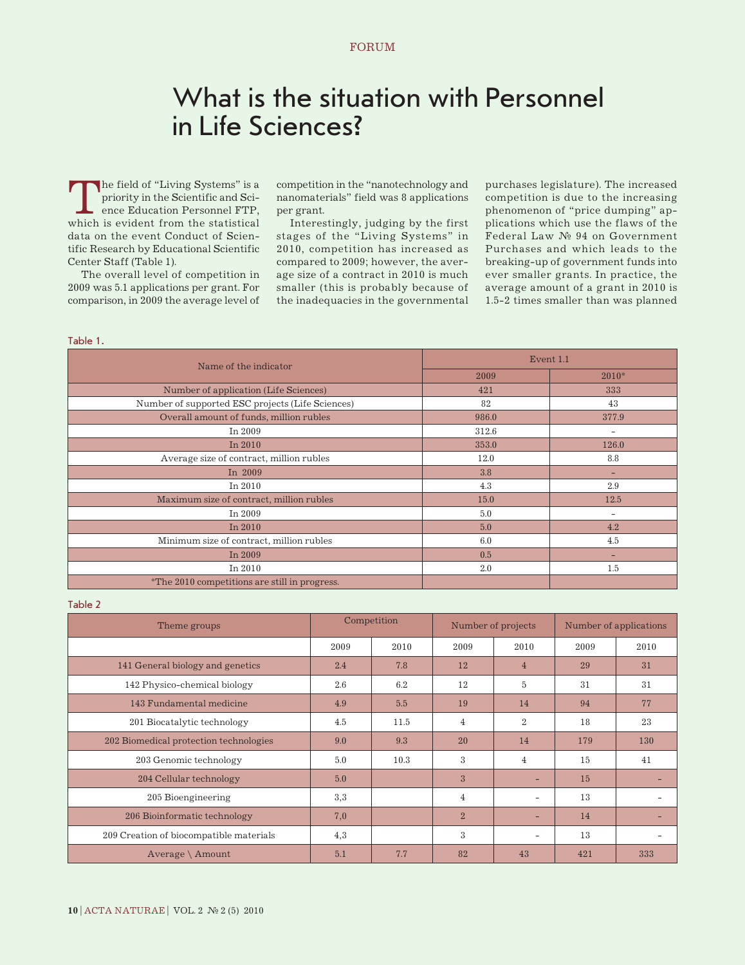# What is the situation with Personnel in Life Sciences?

The field of "Living Systems" is a<br>priority in the Scientific and Science Education Personnel FTP,<br>which is evident from the statistical priority in the Scientific and Science Education Personnel FTP, which is evident from the statistical data on the event Conduct of Scientific Research by Educational Scientific Center Staff (Table 1).

The overall level of competition in 2009 was 5.1 applications per grant. For comparison, in 2009 the average level of competition in the "nanotechnology and nanomaterials" field was 8 applications per grant.

Interestingly, judging by the first stages of the "Living Systems" in 2010, competition has increased as compared to 2009; however, the average size of a contract in 2010 is much smaller (this is probably because of the inadequacies in the governmental purchases legislature). The increased competition is due to the increasing phenomenon of "price dumping" applications which use the flaws of the Federal Law № 94 on Government Purchases and which leads to the breaking-up of government funds into ever smaller grants. In practice, the average amount of a grant in 2010 is 1.5-2 times smaller than was planned

## Table 1.

| Name of the indicator                                | Event 1.1 |                          |  |
|------------------------------------------------------|-----------|--------------------------|--|
|                                                      | 2009      | $2010*$                  |  |
| Number of application (Life Sciences)                | 421       | 333                      |  |
| Number of supported ESC projects (Life Sciences)     | 82        | 43                       |  |
| Overall amount of funds, million rubles              | 986.0     | 377.9                    |  |
| In 2009                                              | 312.6     | $\overline{\phantom{a}}$ |  |
| In $2010$                                            | 353.0     | 126.0                    |  |
| Average size of contract, million rubles             | 12.0      | 8.8                      |  |
| In $2009$                                            | 3.8       | -                        |  |
| In $2010$                                            | 4.3       | 2.9                      |  |
| Maximum size of contract, million rubles             | 15.0      | 12.5                     |  |
| In 2009                                              | 5.0       |                          |  |
| In $2010$                                            | 5.0       | 4.2                      |  |
| Minimum size of contract, million rubles             | 6.0       | 4.5                      |  |
| In 2009                                              | 0.5       | -                        |  |
| In 2010                                              | 2.0       | $1.5\,$                  |  |
| <i>*The 2010 competitions are still in progress.</i> |           |                          |  |

## Table 2

| Theme groups                            | Competition |      | Number of projects |                | Number of applications |      |
|-----------------------------------------|-------------|------|--------------------|----------------|------------------------|------|
|                                         | 2009        | 2010 | 2009               | 2010           | 2009                   | 2010 |
| 141 General biology and genetics        | 2.4         | 7.8  | 12                 | $\overline{4}$ | 29                     | 31   |
| 142 Physico-chemical biology            | 2.6         | 6.2  | 12                 | 5              | 31                     | 31   |
| 143 Fundamental medicine                | 4.9         | 5.5  | 19                 | 14             | 94                     | 77   |
| 201 Biocatalytic technology             | 4.5         | 11.5 | $\overline{4}$     | $\overline{2}$ | 18                     | 23   |
| 202 Biomedical protection technologies  | 9.0         | 9.3  | 20                 | 14             | 179                    | 130  |
| 203 Genomic technology                  | 5.0         | 10.3 | 3                  | $\overline{4}$ | 15                     | 41   |
| 204 Cellular technology                 | 5.0         |      | 3                  |                | 15                     |      |
| 205 Bioengineering                      | 3,3         |      | $\overline{4}$     |                | 13                     |      |
| 206 Bioinformatic technology            | 7,0         |      | $\overline{2}$     | -              | 14                     |      |
| 209 Creation of biocompatible materials | 4,3         |      | 3                  | -              | 13                     |      |
| Average $\Lambda$ Amount                | 5.1         | 7.7  | 82                 | 43             | 421                    | 333  |